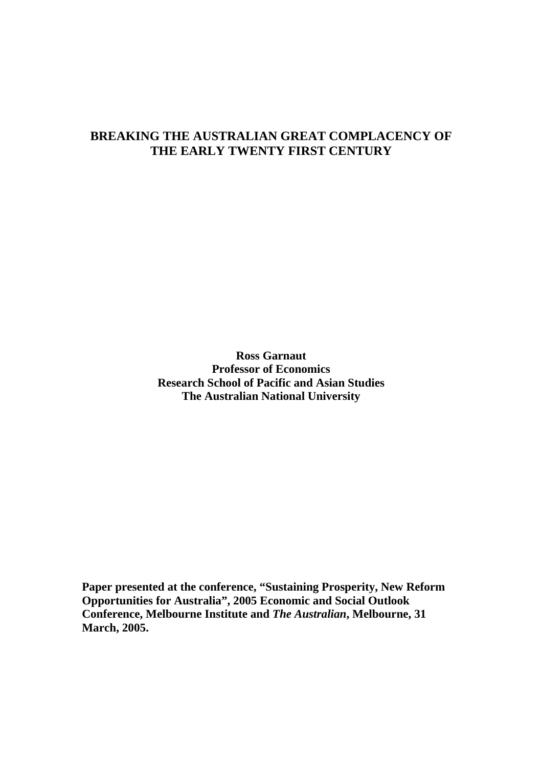### **BREAKING THE AUSTRALIAN GREAT COMPLACENCY OF THE EARLY TWENTY FIRST CENTURY**

**Ross Garnaut Professor of Economics Research School of Pacific and Asian Studies The Australian National University** 

**Paper presented at the conference, "Sustaining Prosperity, New Reform Opportunities for Australia", 2005 Economic and Social Outlook Conference, Melbourne Institute and** *The Australian***, Melbourne, 31 March, 2005.**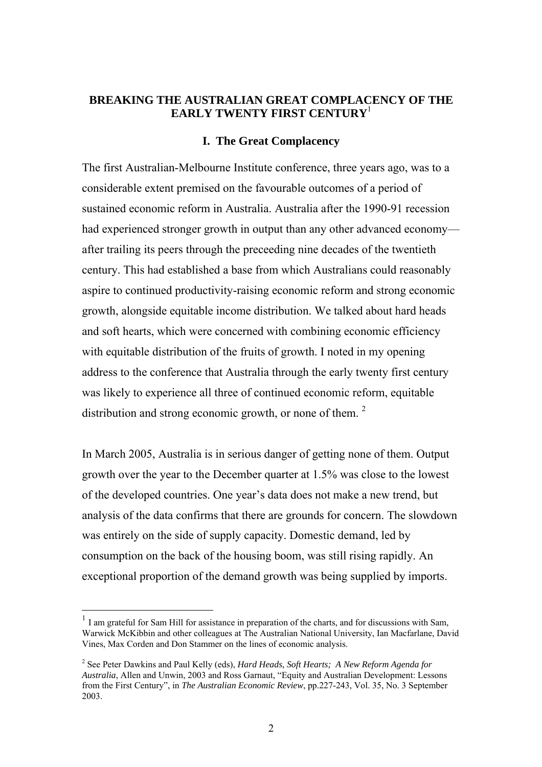### **BREAKING THE AUSTRALIAN GREAT COMPLACENCY OF THE EARLY TWENTY FIRST CENTURY**<sup>1</sup>

#### **I. The Great Complacency**

The first Australian-Melbourne Institute conference, three years ago, was to a considerable extent premised on the favourable outcomes of a period of sustained economic reform in Australia. Australia after the 1990-91 recession had experienced stronger growth in output than any other advanced economy after trailing its peers through the preceeding nine decades of the twentieth century. This had established a base from which Australians could reasonably aspire to continued productivity-raising economic reform and strong economic growth, alongside equitable income distribution. We talked about hard heads and soft hearts, which were concerned with combining economic efficiency with equitable distribution of the fruits of growth. I noted in my opening address to the conference that Australia through the early twenty first century was likely to experience all three of continued economic reform, equitable distribution and strong economic growth, or none of them.<sup>2</sup>

In March 2005, Australia is in serious danger of getting none of them. Output growth over the year to the December quarter at 1.5% was close to the lowest of the developed countries. One year's data does not make a new trend, but analysis of the data confirms that there are grounds for concern. The slowdown was entirely on the side of supply capacity. Domestic demand, led by consumption on the back of the housing boom, was still rising rapidly. An exceptional proportion of the demand growth was being supplied by imports.

 $\overline{a}$ 

 $<sup>1</sup>$  I am grateful for Sam Hill for assistance in preparation of the charts, and for discussions with Sam,</sup> Warwick McKibbin and other colleagues at The Australian National University, Ian Macfarlane, David Vines, Max Corden and Don Stammer on the lines of economic analysis.

<sup>2</sup> See Peter Dawkins and Paul Kelly (eds), *Hard Heads, Soft Hearts; A New Reform Agenda for Australia*, Allen and Unwin, 2003 and Ross Garnaut, "Equity and Australian Development: Lessons from the First Century", in *The Australian Economic Review*, pp.227-243, Vol. 35, No. 3 September 2003.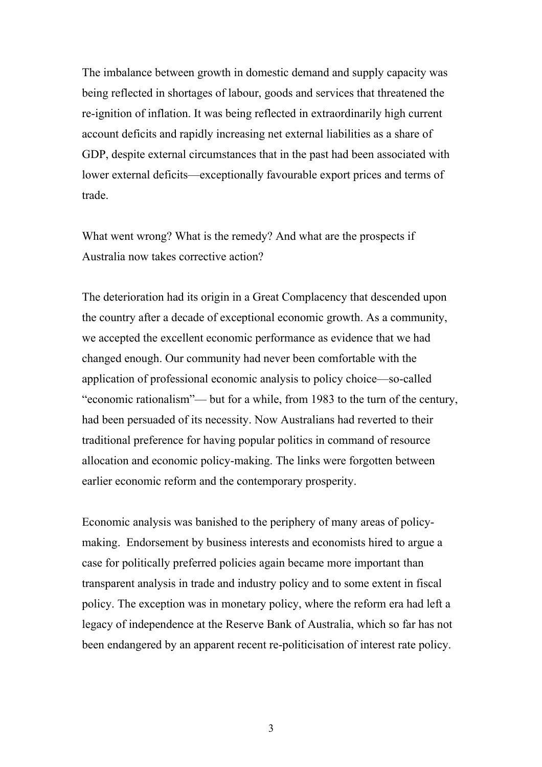The imbalance between growth in domestic demand and supply capacity was being reflected in shortages of labour, goods and services that threatened the re-ignition of inflation. It was being reflected in extraordinarily high current account deficits and rapidly increasing net external liabilities as a share of GDP, despite external circumstances that in the past had been associated with lower external deficits—exceptionally favourable export prices and terms of trade.

What went wrong? What is the remedy? And what are the prospects if Australia now takes corrective action?

The deterioration had its origin in a Great Complacency that descended upon the country after a decade of exceptional economic growth. As a community, we accepted the excellent economic performance as evidence that we had changed enough. Our community had never been comfortable with the application of professional economic analysis to policy choice—so-called "economic rationalism"— but for a while, from 1983 to the turn of the century, had been persuaded of its necessity. Now Australians had reverted to their traditional preference for having popular politics in command of resource allocation and economic policy-making. The links were forgotten between earlier economic reform and the contemporary prosperity.

Economic analysis was banished to the periphery of many areas of policymaking. Endorsement by business interests and economists hired to argue a case for politically preferred policies again became more important than transparent analysis in trade and industry policy and to some extent in fiscal policy. The exception was in monetary policy, where the reform era had left a legacy of independence at the Reserve Bank of Australia, which so far has not been endangered by an apparent recent re-politicisation of interest rate policy.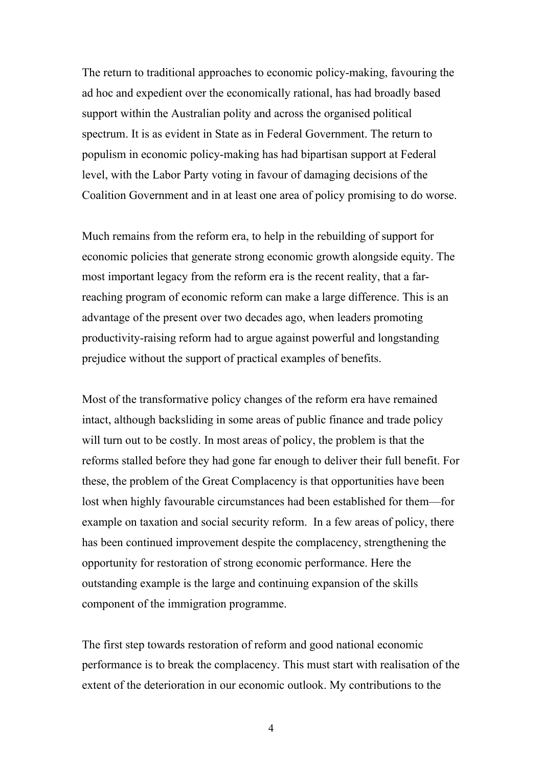The return to traditional approaches to economic policy-making, favouring the ad hoc and expedient over the economically rational, has had broadly based support within the Australian polity and across the organised political spectrum. It is as evident in State as in Federal Government. The return to populism in economic policy-making has had bipartisan support at Federal level, with the Labor Party voting in favour of damaging decisions of the Coalition Government and in at least one area of policy promising to do worse.

Much remains from the reform era, to help in the rebuilding of support for economic policies that generate strong economic growth alongside equity. The most important legacy from the reform era is the recent reality, that a farreaching program of economic reform can make a large difference. This is an advantage of the present over two decades ago, when leaders promoting productivity-raising reform had to argue against powerful and longstanding prejudice without the support of practical examples of benefits.

Most of the transformative policy changes of the reform era have remained intact, although backsliding in some areas of public finance and trade policy will turn out to be costly. In most areas of policy, the problem is that the reforms stalled before they had gone far enough to deliver their full benefit. For these, the problem of the Great Complacency is that opportunities have been lost when highly favourable circumstances had been established for them—for example on taxation and social security reform. In a few areas of policy, there has been continued improvement despite the complacency, strengthening the opportunity for restoration of strong economic performance. Here the outstanding example is the large and continuing expansion of the skills component of the immigration programme.

The first step towards restoration of reform and good national economic performance is to break the complacency. This must start with realisation of the extent of the deterioration in our economic outlook. My contributions to the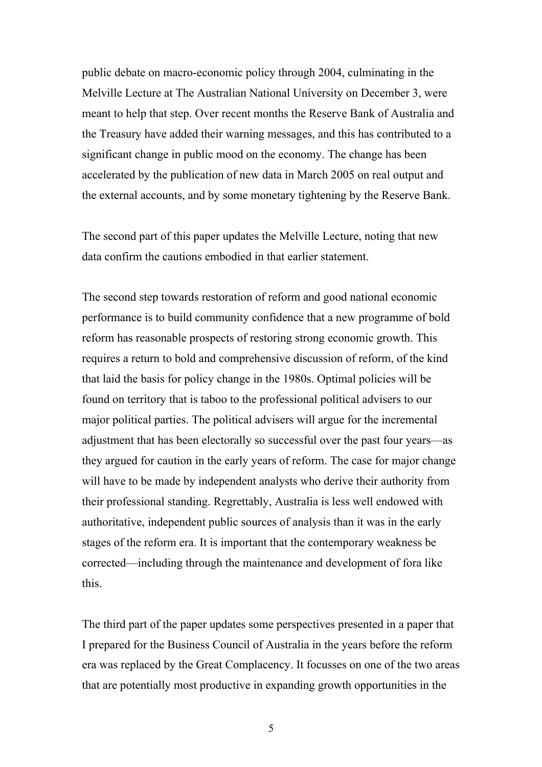public debate on macro-economic policy through 2004, culminating in the Melville Lecture at The Australian National University on December 3, were meant to help that step. Over recent months the Reserve Bank of Australia and the Treasury have added their warning messages, and this has contributed to a significant change in public mood on the economy. The change has been accelerated by the publication of new data in March 2005 on real output and the external accounts, and by some monetary tightening by the Reserve Bank.

The second part of this paper updates the Melville Lecture, noting that new data confirm the cautions embodied in that earlier statement.

The second step towards restoration of reform and good national economic performance is to build community confidence that a new programme of bold reform has reasonable prospects of restoring strong economic growth. This requires a return to bold and comprehensive discussion of reform, of the kind that laid the basis for policy change in the 1980s. Optimal policies will be found on territory that is taboo to the professional political advisers to our major political parties. The political advisers will argue for the incremental adjustment that has been electorally so successful over the past four years—as they argued for caution in the early years of reform. The case for major change will have to be made by independent analysts who derive their authority from their professional standing. Regrettably, Australia is less well endowed with authoritative, independent public sources of analysis than it was in the early stages of the reform era. It is important that the contemporary weakness be corrected—including through the maintenance and development of fora like this.

The third part of the paper updates some perspectives presented in a paper that I prepared for the Business Council of Australia in the years before the reform era was replaced by the Great Complacency. It focusses on one of the two areas that are potentially most productive in expanding growth opportunities in the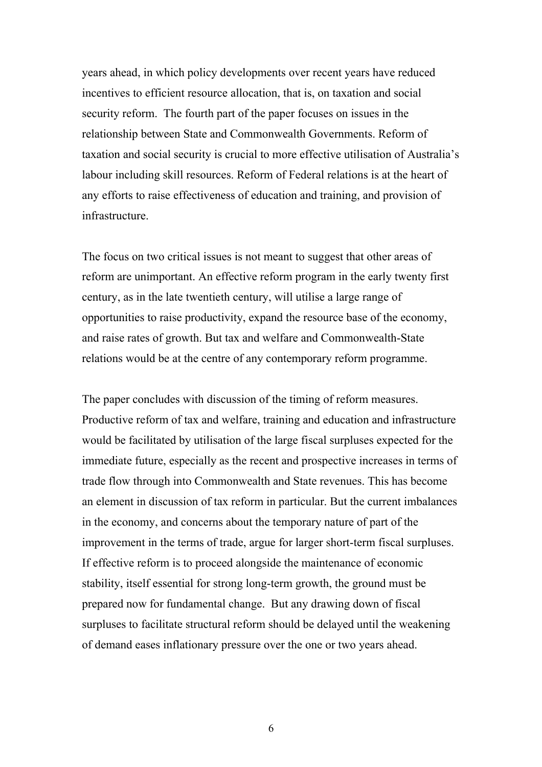years ahead, in which policy developments over recent years have reduced incentives to efficient resource allocation, that is, on taxation and social security reform. The fourth part of the paper focuses on issues in the relationship between State and Commonwealth Governments. Reform of taxation and social security is crucial to more effective utilisation of Australia's labour including skill resources. Reform of Federal relations is at the heart of any efforts to raise effectiveness of education and training, and provision of infrastructure.

The focus on two critical issues is not meant to suggest that other areas of reform are unimportant. An effective reform program in the early twenty first century, as in the late twentieth century, will utilise a large range of opportunities to raise productivity, expand the resource base of the economy, and raise rates of growth. But tax and welfare and Commonwealth-State relations would be at the centre of any contemporary reform programme.

The paper concludes with discussion of the timing of reform measures. Productive reform of tax and welfare, training and education and infrastructure would be facilitated by utilisation of the large fiscal surpluses expected for the immediate future, especially as the recent and prospective increases in terms of trade flow through into Commonwealth and State revenues. This has become an element in discussion of tax reform in particular. But the current imbalances in the economy, and concerns about the temporary nature of part of the improvement in the terms of trade, argue for larger short-term fiscal surpluses. If effective reform is to proceed alongside the maintenance of economic stability, itself essential for strong long-term growth, the ground must be prepared now for fundamental change. But any drawing down of fiscal surpluses to facilitate structural reform should be delayed until the weakening of demand eases inflationary pressure over the one or two years ahead.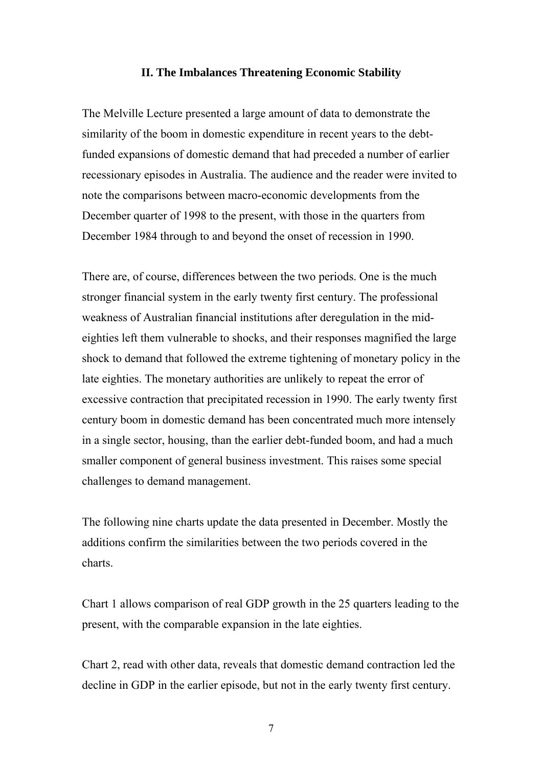#### **II. The Imbalances Threatening Economic Stability**

The Melville Lecture presented a large amount of data to demonstrate the similarity of the boom in domestic expenditure in recent years to the debtfunded expansions of domestic demand that had preceded a number of earlier recessionary episodes in Australia. The audience and the reader were invited to note the comparisons between macro-economic developments from the December quarter of 1998 to the present, with those in the quarters from December 1984 through to and beyond the onset of recession in 1990.

There are, of course, differences between the two periods. One is the much stronger financial system in the early twenty first century. The professional weakness of Australian financial institutions after deregulation in the mideighties left them vulnerable to shocks, and their responses magnified the large shock to demand that followed the extreme tightening of monetary policy in the late eighties. The monetary authorities are unlikely to repeat the error of excessive contraction that precipitated recession in 1990. The early twenty first century boom in domestic demand has been concentrated much more intensely in a single sector, housing, than the earlier debt-funded boom, and had a much smaller component of general business investment. This raises some special challenges to demand management.

The following nine charts update the data presented in December. Mostly the additions confirm the similarities between the two periods covered in the charts.

Chart 1 allows comparison of real GDP growth in the 25 quarters leading to the present, with the comparable expansion in the late eighties.

Chart 2, read with other data, reveals that domestic demand contraction led the decline in GDP in the earlier episode, but not in the early twenty first century.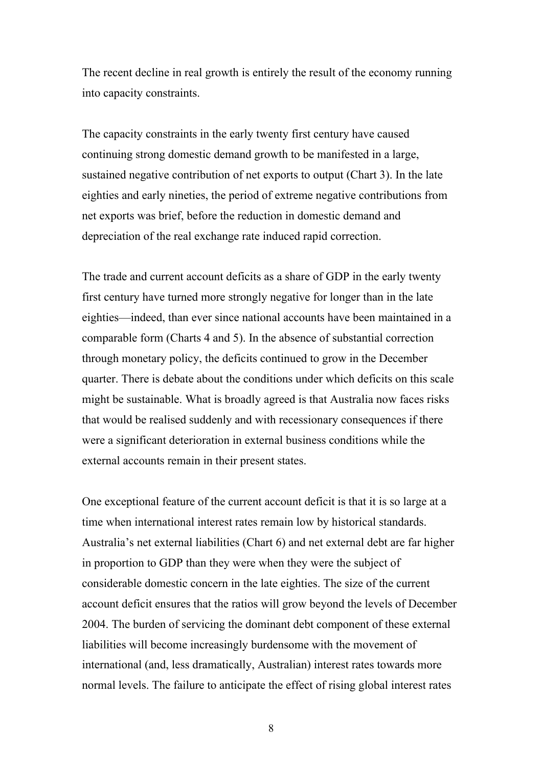The recent decline in real growth is entirely the result of the economy running into capacity constraints.

The capacity constraints in the early twenty first century have caused continuing strong domestic demand growth to be manifested in a large, sustained negative contribution of net exports to output (Chart 3). In the late eighties and early nineties, the period of extreme negative contributions from net exports was brief, before the reduction in domestic demand and depreciation of the real exchange rate induced rapid correction.

The trade and current account deficits as a share of GDP in the early twenty first century have turned more strongly negative for longer than in the late eighties—indeed, than ever since national accounts have been maintained in a comparable form (Charts 4 and 5). In the absence of substantial correction through monetary policy, the deficits continued to grow in the December quarter. There is debate about the conditions under which deficits on this scale might be sustainable. What is broadly agreed is that Australia now faces risks that would be realised suddenly and with recessionary consequences if there were a significant deterioration in external business conditions while the external accounts remain in their present states.

One exceptional feature of the current account deficit is that it is so large at a time when international interest rates remain low by historical standards. Australia's net external liabilities (Chart 6) and net external debt are far higher in proportion to GDP than they were when they were the subject of considerable domestic concern in the late eighties. The size of the current account deficit ensures that the ratios will grow beyond the levels of December 2004. The burden of servicing the dominant debt component of these external liabilities will become increasingly burdensome with the movement of international (and, less dramatically, Australian) interest rates towards more normal levels. The failure to anticipate the effect of rising global interest rates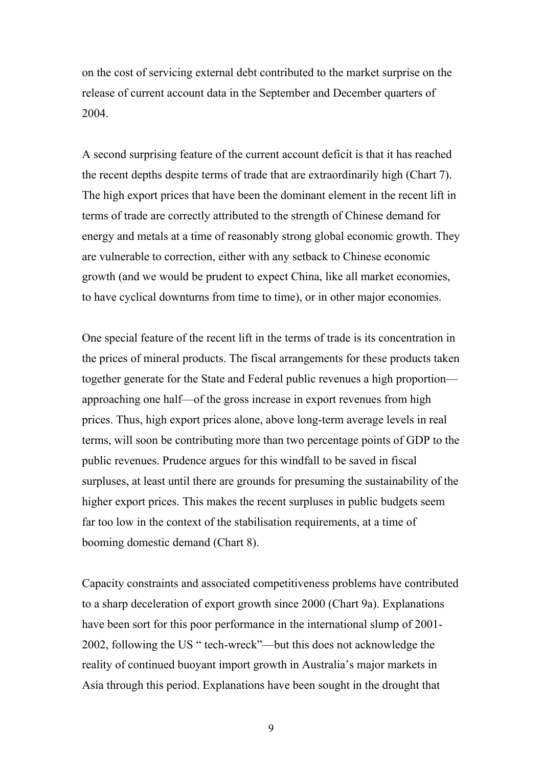on the cost of servicing external debt contributed to the market surprise on the release of current account data in the September and December quarters of 2004.

A second surprising feature of the current account deficit is that it has reached the recent depths despite terms of trade that are extraordinarily high (Chart 7). The high export prices that have been the dominant element in the recent lift in terms of trade are correctly attributed to the strength of Chinese demand for energy and metals at a time of reasonably strong global economic growth. They are vulnerable to correction, either with any setback to Chinese economic growth (and we would be prudent to expect China, like all market economies, to have cyclical downturns from time to time), or in other major economies.

One special feature of the recent lift in the terms of trade is its concentration in the prices of mineral products. The fiscal arrangements for these products taken together generate for the State and Federal public revenues a high proportion approaching one half—of the gross increase in export revenues from high prices. Thus, high export prices alone, above long-term average levels in real terms, will soon be contributing more than two percentage points of GDP to the public revenues. Prudence argues for this windfall to be saved in fiscal surpluses, at least until there are grounds for presuming the sustainability of the higher export prices. This makes the recent surpluses in public budgets seem far too low in the context of the stabilisation requirements, at a time of booming domestic demand (Chart 8).

Capacity constraints and associated competitiveness problems have contributed to a sharp deceleration of export growth since 2000 (Chart 9a). Explanations have been sort for this poor performance in the international slump of 2001- 2002, following the US " tech-wreck"—but this does not acknowledge the reality of continued buoyant import growth in Australia's major markets in Asia through this period. Explanations have been sought in the drought that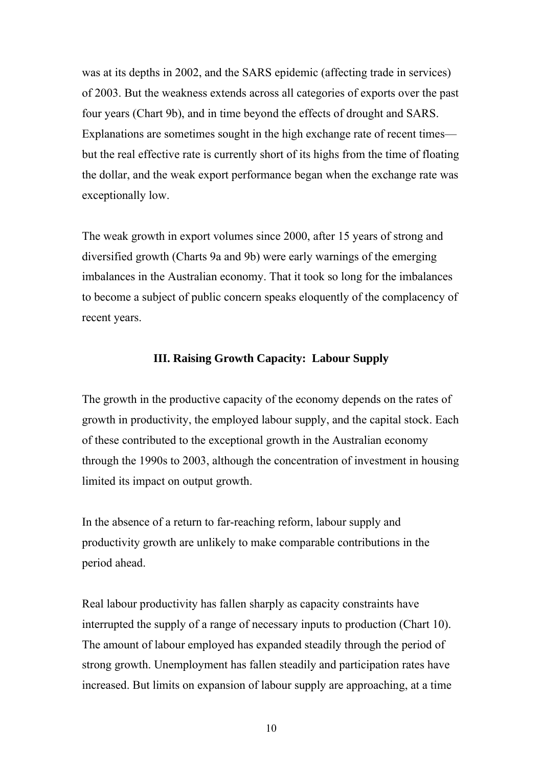was at its depths in 2002, and the SARS epidemic (affecting trade in services) of 2003. But the weakness extends across all categories of exports over the past four years (Chart 9b), and in time beyond the effects of drought and SARS. Explanations are sometimes sought in the high exchange rate of recent times but the real effective rate is currently short of its highs from the time of floating the dollar, and the weak export performance began when the exchange rate was exceptionally low.

The weak growth in export volumes since 2000, after 15 years of strong and diversified growth (Charts 9a and 9b) were early warnings of the emerging imbalances in the Australian economy. That it took so long for the imbalances to become a subject of public concern speaks eloquently of the complacency of recent years.

#### **III. Raising Growth Capacity: Labour Supply**

The growth in the productive capacity of the economy depends on the rates of growth in productivity, the employed labour supply, and the capital stock. Each of these contributed to the exceptional growth in the Australian economy through the 1990s to 2003, although the concentration of investment in housing limited its impact on output growth.

In the absence of a return to far-reaching reform, labour supply and productivity growth are unlikely to make comparable contributions in the period ahead.

Real labour productivity has fallen sharply as capacity constraints have interrupted the supply of a range of necessary inputs to production (Chart 10). The amount of labour employed has expanded steadily through the period of strong growth. Unemployment has fallen steadily and participation rates have increased. But limits on expansion of labour supply are approaching, at a time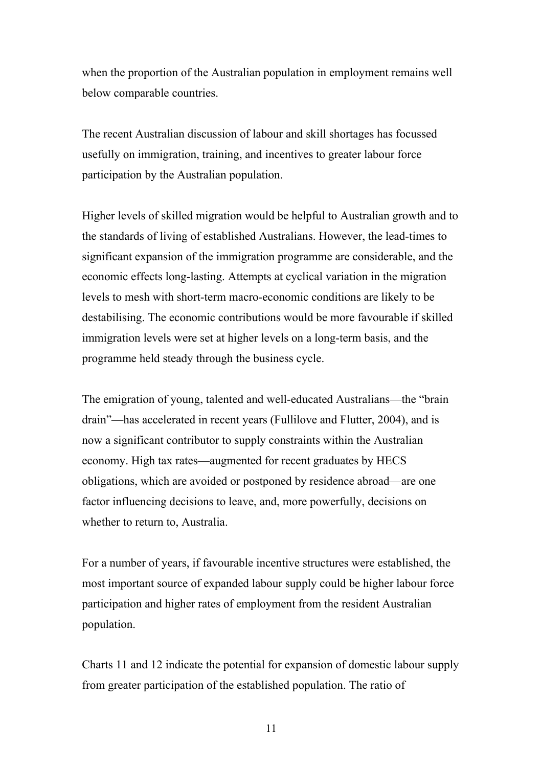when the proportion of the Australian population in employment remains well below comparable countries.

The recent Australian discussion of labour and skill shortages has focussed usefully on immigration, training, and incentives to greater labour force participation by the Australian population.

Higher levels of skilled migration would be helpful to Australian growth and to the standards of living of established Australians. However, the lead-times to significant expansion of the immigration programme are considerable, and the economic effects long-lasting. Attempts at cyclical variation in the migration levels to mesh with short-term macro-economic conditions are likely to be destabilising. The economic contributions would be more favourable if skilled immigration levels were set at higher levels on a long-term basis, and the programme held steady through the business cycle.

The emigration of young, talented and well-educated Australians—the "brain drain"—has accelerated in recent years (Fullilove and Flutter, 2004), and is now a significant contributor to supply constraints within the Australian economy. High tax rates—augmented for recent graduates by HECS obligations, which are avoided or postponed by residence abroad—are one factor influencing decisions to leave, and, more powerfully, decisions on whether to return to, Australia.

For a number of years, if favourable incentive structures were established, the most important source of expanded labour supply could be higher labour force participation and higher rates of employment from the resident Australian population.

Charts 11 and 12 indicate the potential for expansion of domestic labour supply from greater participation of the established population. The ratio of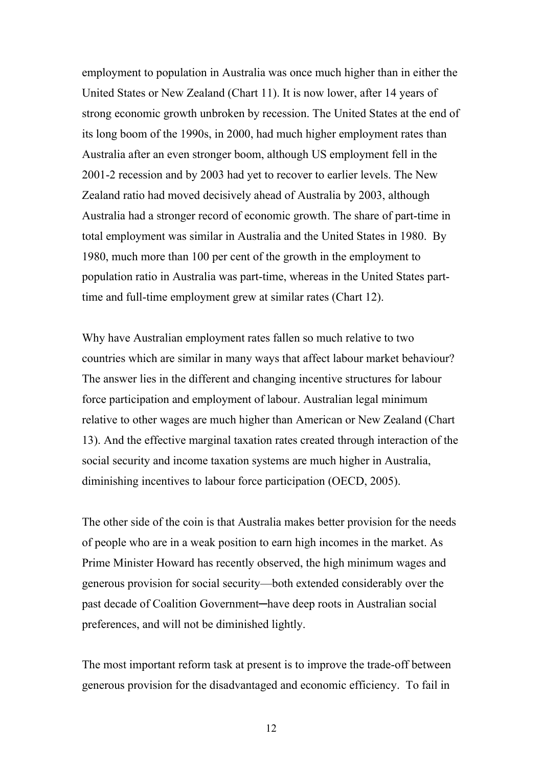employment to population in Australia was once much higher than in either the United States or New Zealand (Chart 11). It is now lower, after 14 years of strong economic growth unbroken by recession. The United States at the end of its long boom of the 1990s, in 2000, had much higher employment rates than Australia after an even stronger boom, although US employment fell in the 2001-2 recession and by 2003 had yet to recover to earlier levels. The New Zealand ratio had moved decisively ahead of Australia by 2003, although Australia had a stronger record of economic growth. The share of part-time in total employment was similar in Australia and the United States in 1980. By 1980, much more than 100 per cent of the growth in the employment to population ratio in Australia was part-time, whereas in the United States parttime and full-time employment grew at similar rates (Chart 12).

Why have Australian employment rates fallen so much relative to two countries which are similar in many ways that affect labour market behaviour? The answer lies in the different and changing incentive structures for labour force participation and employment of labour. Australian legal minimum relative to other wages are much higher than American or New Zealand (Chart 13). And the effective marginal taxation rates created through interaction of the social security and income taxation systems are much higher in Australia, diminishing incentives to labour force participation (OECD, 2005).

The other side of the coin is that Australia makes better provision for the needs of people who are in a weak position to earn high incomes in the market. As Prime Minister Howard has recently observed, the high minimum wages and generous provision for social security—both extended considerably over the past decade of Coalition Government—have deep roots in Australian social preferences, and will not be diminished lightly.

The most important reform task at present is to improve the trade-off between generous provision for the disadvantaged and economic efficiency. To fail in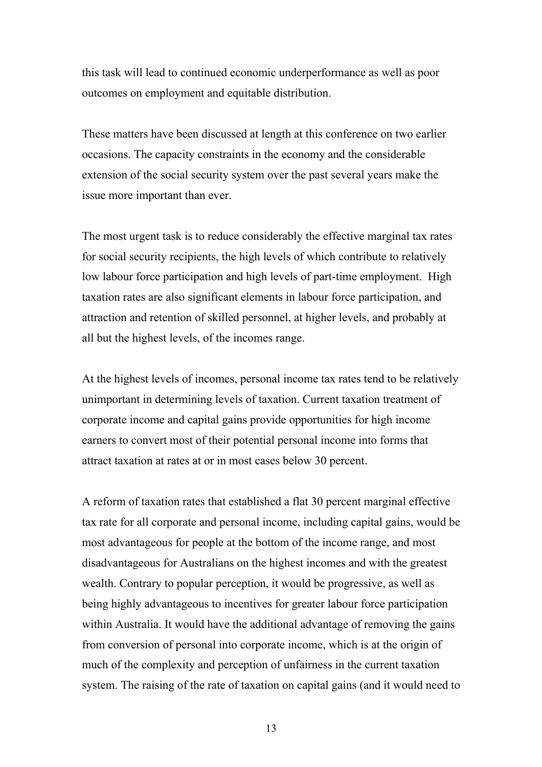this task will lead to continued economic underperformance as well as poor outcomes on employment and equitable distribution.

These matters have been discussed at length at this conference on two earlier occasions. The capacity constraints in the economy and the considerable extension of the social security system over the past several years make the issue more important than ever.

The most urgent task is to reduce considerably the effective marginal tax rates for social security recipients, the high levels of which contribute to relatively low labour force participation and high levels of part-time employment. High taxation rates are also significant elements in labour force participation, and attraction and retention of skilled personnel, at higher levels, and probably at all but the highest levels, of the incomes range.

At the highest levels of incomes, personal income tax rates tend to be relatively unimportant in determining levels of taxation. Current taxation treatment of corporate income and capital gains provide opportunities for high income earners to convert most of their potential personal income into forms that attract taxation at rates at or in most cases below 30 percent.

A reform of taxation rates that established a flat 30 percent marginal effective tax rate for all corporate and personal income, including capital gains, would be most advantageous for people at the bottom of the income range, and most disadvantageous for Australians on the highest incomes and with the greatest wealth. Contrary to popular perception, it would be progressive, as well as being highly advantageous to incentives for greater labour force participation within Australia. It would have the additional advantage of removing the gains from conversion of personal into corporate income, which is at the origin of much of the complexity and perception of unfairness in the current taxation system. The raising of the rate of taxation on capital gains (and it would need to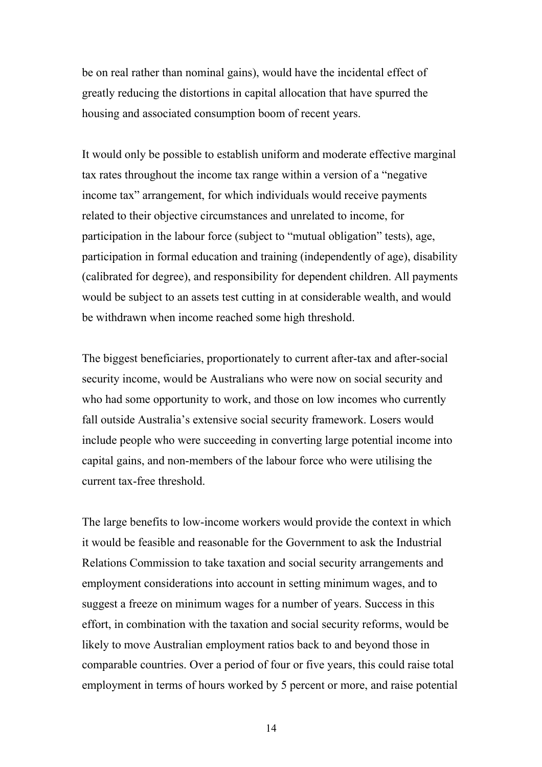be on real rather than nominal gains), would have the incidental effect of greatly reducing the distortions in capital allocation that have spurred the housing and associated consumption boom of recent years.

It would only be possible to establish uniform and moderate effective marginal tax rates throughout the income tax range within a version of a "negative income tax" arrangement, for which individuals would receive payments related to their objective circumstances and unrelated to income, for participation in the labour force (subject to "mutual obligation" tests), age, participation in formal education and training (independently of age), disability (calibrated for degree), and responsibility for dependent children. All payments would be subject to an assets test cutting in at considerable wealth, and would be withdrawn when income reached some high threshold.

The biggest beneficiaries, proportionately to current after-tax and after-social security income, would be Australians who were now on social security and who had some opportunity to work, and those on low incomes who currently fall outside Australia's extensive social security framework. Losers would include people who were succeeding in converting large potential income into capital gains, and non-members of the labour force who were utilising the current tax-free threshold.

The large benefits to low-income workers would provide the context in which it would be feasible and reasonable for the Government to ask the Industrial Relations Commission to take taxation and social security arrangements and employment considerations into account in setting minimum wages, and to suggest a freeze on minimum wages for a number of years. Success in this effort, in combination with the taxation and social security reforms, would be likely to move Australian employment ratios back to and beyond those in comparable countries. Over a period of four or five years, this could raise total employment in terms of hours worked by 5 percent or more, and raise potential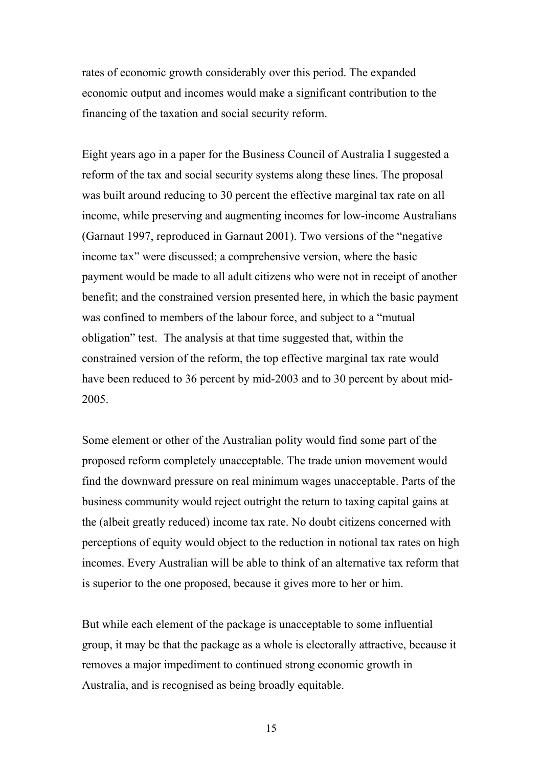rates of economic growth considerably over this period. The expanded economic output and incomes would make a significant contribution to the financing of the taxation and social security reform.

Eight years ago in a paper for the Business Council of Australia I suggested a reform of the tax and social security systems along these lines. The proposal was built around reducing to 30 percent the effective marginal tax rate on all income, while preserving and augmenting incomes for low-income Australians (Garnaut 1997, reproduced in Garnaut 2001). Two versions of the "negative income tax" were discussed; a comprehensive version, where the basic payment would be made to all adult citizens who were not in receipt of another benefit; and the constrained version presented here, in which the basic payment was confined to members of the labour force, and subject to a "mutual obligation" test. The analysis at that time suggested that, within the constrained version of the reform, the top effective marginal tax rate would have been reduced to 36 percent by mid-2003 and to 30 percent by about mid-2005.

Some element or other of the Australian polity would find some part of the proposed reform completely unacceptable. The trade union movement would find the downward pressure on real minimum wages unacceptable. Parts of the business community would reject outright the return to taxing capital gains at the (albeit greatly reduced) income tax rate. No doubt citizens concerned with perceptions of equity would object to the reduction in notional tax rates on high incomes. Every Australian will be able to think of an alternative tax reform that is superior to the one proposed, because it gives more to her or him.

But while each element of the package is unacceptable to some influential group, it may be that the package as a whole is electorally attractive, because it removes a major impediment to continued strong economic growth in Australia, and is recognised as being broadly equitable.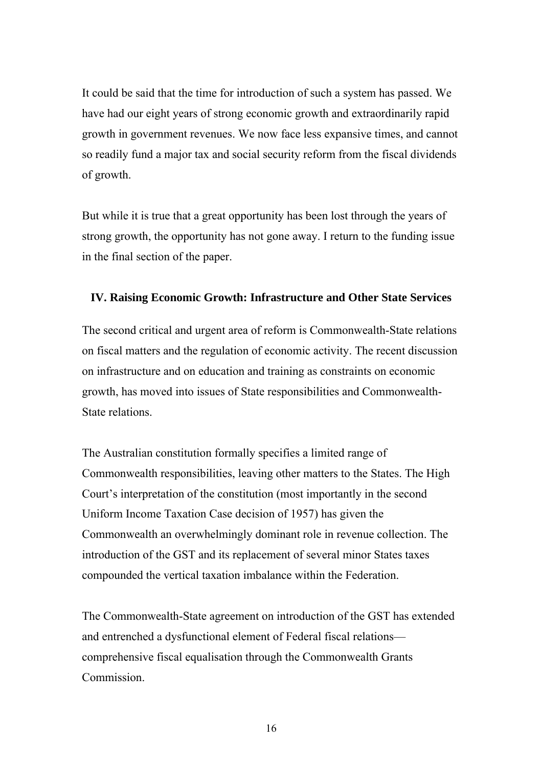It could be said that the time for introduction of such a system has passed. We have had our eight years of strong economic growth and extraordinarily rapid growth in government revenues. We now face less expansive times, and cannot so readily fund a major tax and social security reform from the fiscal dividends of growth.

But while it is true that a great opportunity has been lost through the years of strong growth, the opportunity has not gone away. I return to the funding issue in the final section of the paper.

### **IV. Raising Economic Growth: Infrastructure and Other State Services**

The second critical and urgent area of reform is Commonwealth-State relations on fiscal matters and the regulation of economic activity. The recent discussion on infrastructure and on education and training as constraints on economic growth, has moved into issues of State responsibilities and Commonwealth-State relations.

The Australian constitution formally specifies a limited range of Commonwealth responsibilities, leaving other matters to the States. The High Court's interpretation of the constitution (most importantly in the second Uniform Income Taxation Case decision of 1957) has given the Commonwealth an overwhelmingly dominant role in revenue collection. The introduction of the GST and its replacement of several minor States taxes compounded the vertical taxation imbalance within the Federation.

The Commonwealth-State agreement on introduction of the GST has extended and entrenched a dysfunctional element of Federal fiscal relations comprehensive fiscal equalisation through the Commonwealth Grants Commission.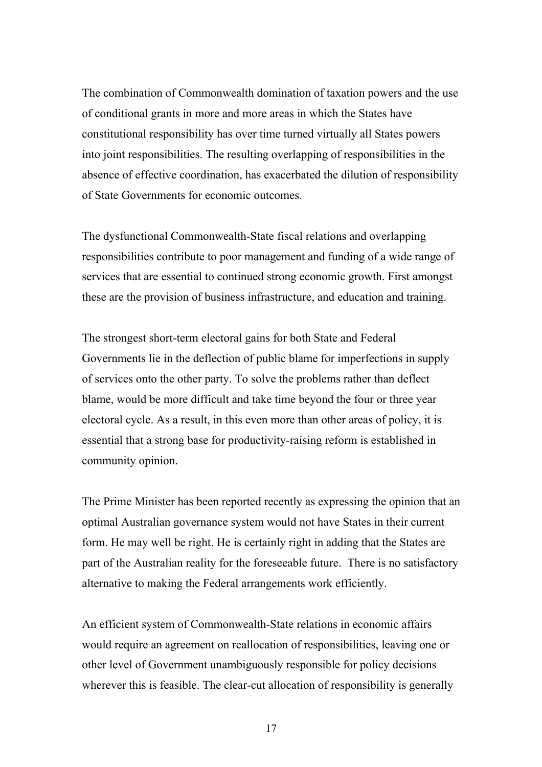The combination of Commonwealth domination of taxation powers and the use of conditional grants in more and more areas in which the States have constitutional responsibility has over time turned virtually all States powers into joint responsibilities. The resulting overlapping of responsibilities in the absence of effective coordination, has exacerbated the dilution of responsibility of State Governments for economic outcomes.

The dysfunctional Commonwealth-State fiscal relations and overlapping responsibilities contribute to poor management and funding of a wide range of services that are essential to continued strong economic growth. First amongst these are the provision of business infrastructure, and education and training.

The strongest short-term electoral gains for both State and Federal Governments lie in the deflection of public blame for imperfections in supply of services onto the other party. To solve the problems rather than deflect blame, would be more difficult and take time beyond the four or three year electoral cycle. As a result, in this even more than other areas of policy, it is essential that a strong base for productivity-raising reform is established in community opinion.

The Prime Minister has been reported recently as expressing the opinion that an optimal Australian governance system would not have States in their current form. He may well be right. He is certainly right in adding that the States are part of the Australian reality for the foreseeable future. There is no satisfactory alternative to making the Federal arrangements work efficiently.

An efficient system of Commonwealth-State relations in economic affairs would require an agreement on reallocation of responsibilities, leaving one or other level of Government unambiguously responsible for policy decisions wherever this is feasible. The clear-cut allocation of responsibility is generally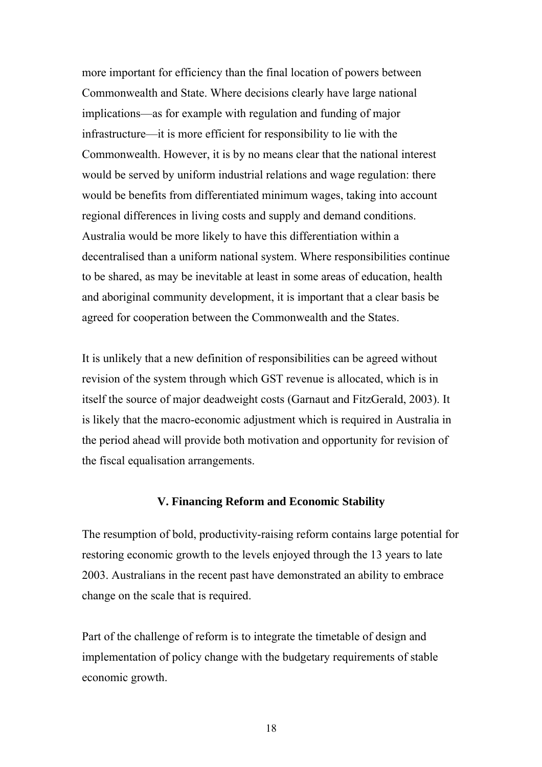more important for efficiency than the final location of powers between Commonwealth and State. Where decisions clearly have large national implications—as for example with regulation and funding of major infrastructure—it is more efficient for responsibility to lie with the Commonwealth. However, it is by no means clear that the national interest would be served by uniform industrial relations and wage regulation: there would be benefits from differentiated minimum wages, taking into account regional differences in living costs and supply and demand conditions. Australia would be more likely to have this differentiation within a decentralised than a uniform national system. Where responsibilities continue to be shared, as may be inevitable at least in some areas of education, health and aboriginal community development, it is important that a clear basis be agreed for cooperation between the Commonwealth and the States.

It is unlikely that a new definition of responsibilities can be agreed without revision of the system through which GST revenue is allocated, which is in itself the source of major deadweight costs (Garnaut and FitzGerald, 2003). It is likely that the macro-economic adjustment which is required in Australia in the period ahead will provide both motivation and opportunity for revision of the fiscal equalisation arrangements.

#### **V. Financing Reform and Economic Stability**

The resumption of bold, productivity-raising reform contains large potential for restoring economic growth to the levels enjoyed through the 13 years to late 2003. Australians in the recent past have demonstrated an ability to embrace change on the scale that is required.

Part of the challenge of reform is to integrate the timetable of design and implementation of policy change with the budgetary requirements of stable economic growth.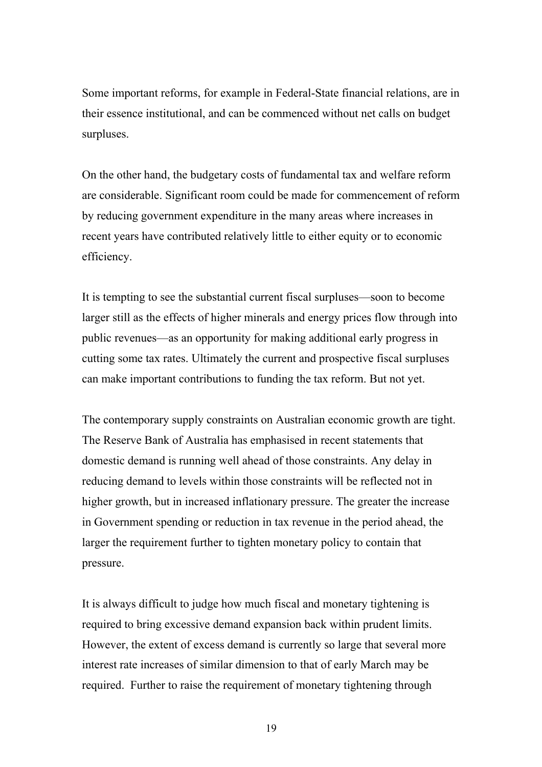Some important reforms, for example in Federal-State financial relations, are in their essence institutional, and can be commenced without net calls on budget surpluses.

On the other hand, the budgetary costs of fundamental tax and welfare reform are considerable. Significant room could be made for commencement of reform by reducing government expenditure in the many areas where increases in recent years have contributed relatively little to either equity or to economic efficiency.

It is tempting to see the substantial current fiscal surpluses—soon to become larger still as the effects of higher minerals and energy prices flow through into public revenues—as an opportunity for making additional early progress in cutting some tax rates. Ultimately the current and prospective fiscal surpluses can make important contributions to funding the tax reform. But not yet.

The contemporary supply constraints on Australian economic growth are tight. The Reserve Bank of Australia has emphasised in recent statements that domestic demand is running well ahead of those constraints. Any delay in reducing demand to levels within those constraints will be reflected not in higher growth, but in increased inflationary pressure. The greater the increase in Government spending or reduction in tax revenue in the period ahead, the larger the requirement further to tighten monetary policy to contain that pressure.

It is always difficult to judge how much fiscal and monetary tightening is required to bring excessive demand expansion back within prudent limits. However, the extent of excess demand is currently so large that several more interest rate increases of similar dimension to that of early March may be required. Further to raise the requirement of monetary tightening through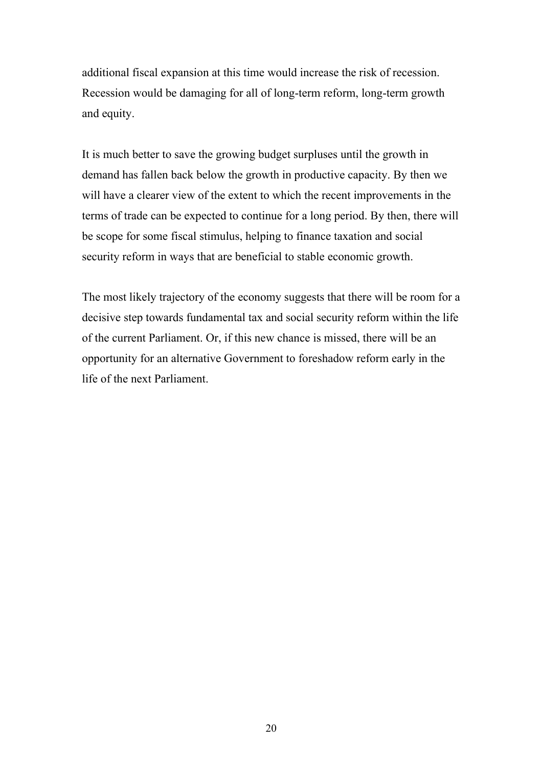additional fiscal expansion at this time would increase the risk of recession. Recession would be damaging for all of long-term reform, long-term growth and equity.

It is much better to save the growing budget surpluses until the growth in demand has fallen back below the growth in productive capacity. By then we will have a clearer view of the extent to which the recent improvements in the terms of trade can be expected to continue for a long period. By then, there will be scope for some fiscal stimulus, helping to finance taxation and social security reform in ways that are beneficial to stable economic growth.

The most likely trajectory of the economy suggests that there will be room for a decisive step towards fundamental tax and social security reform within the life of the current Parliament. Or, if this new chance is missed, there will be an opportunity for an alternative Government to foreshadow reform early in the life of the next Parliament.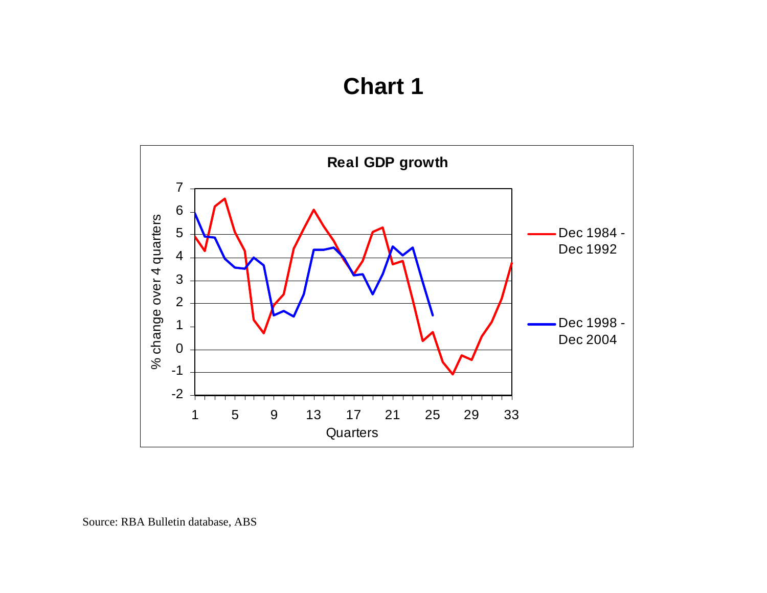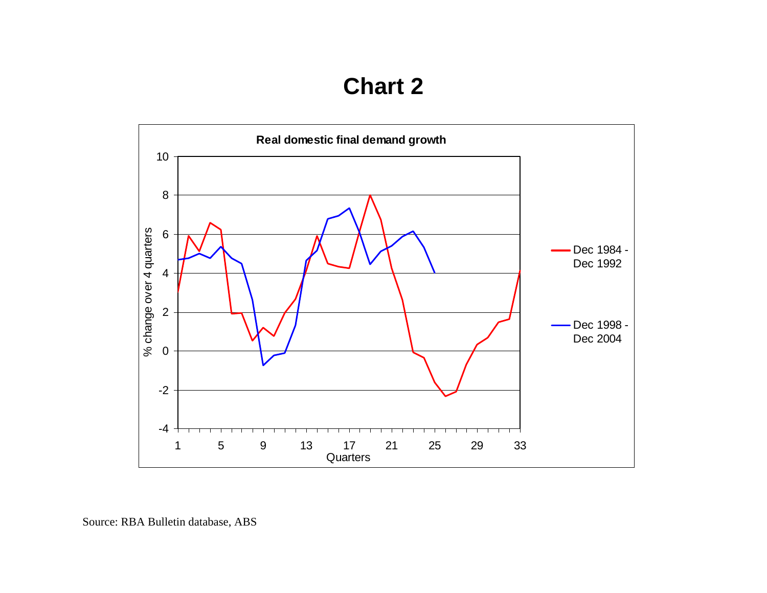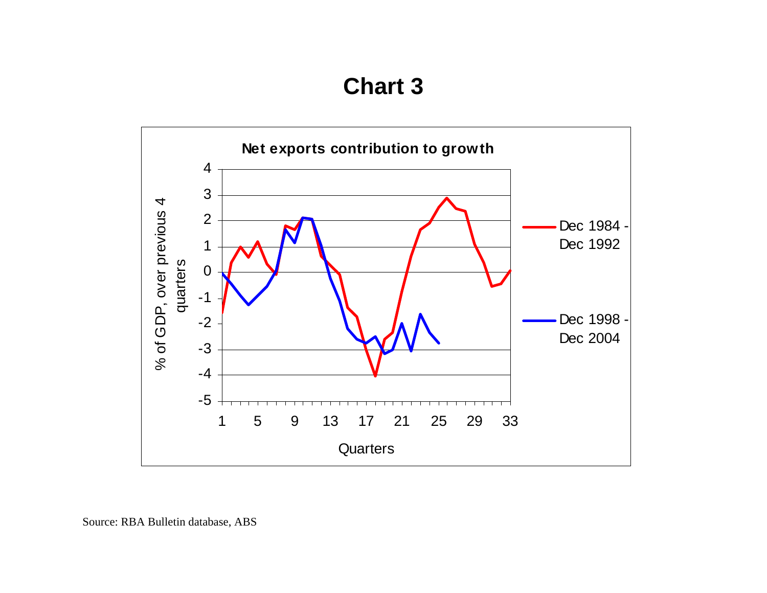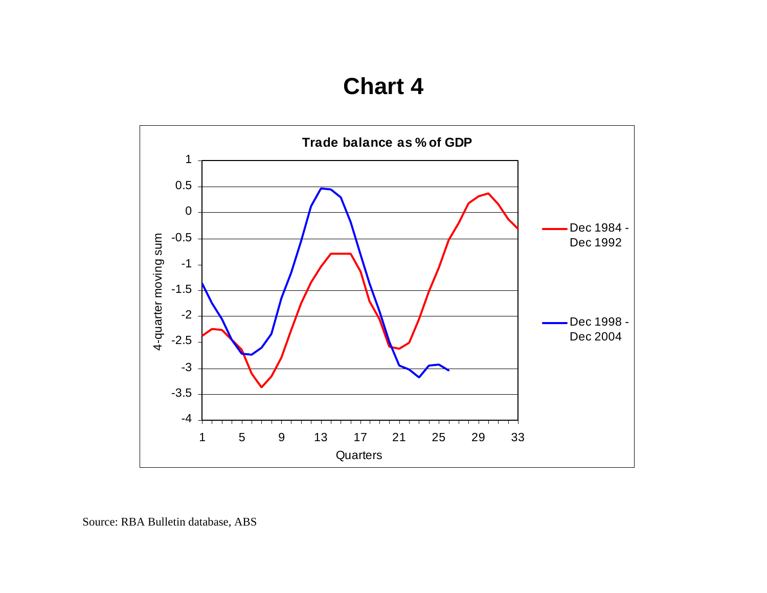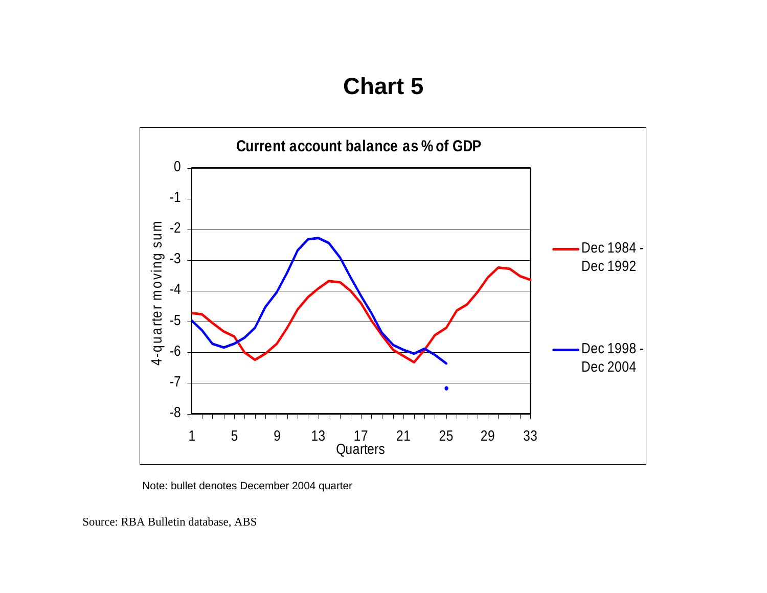

Note: bullet denotes December 2004 quarter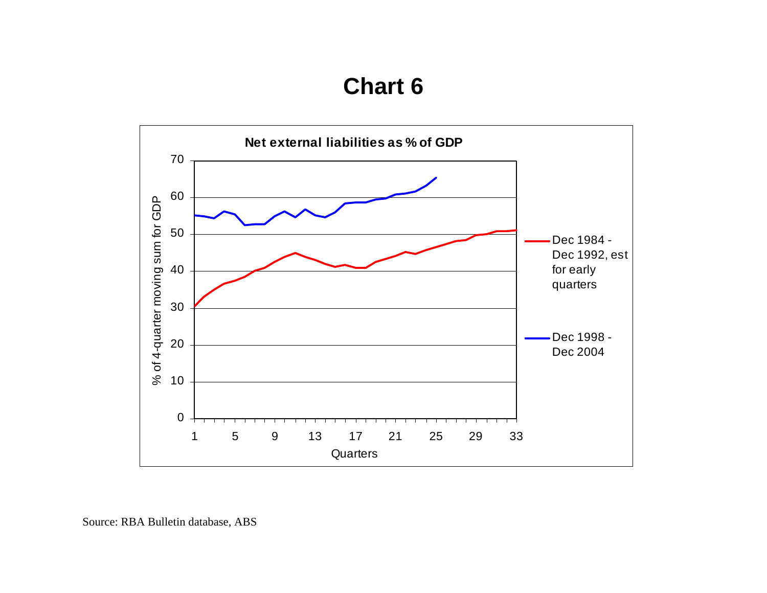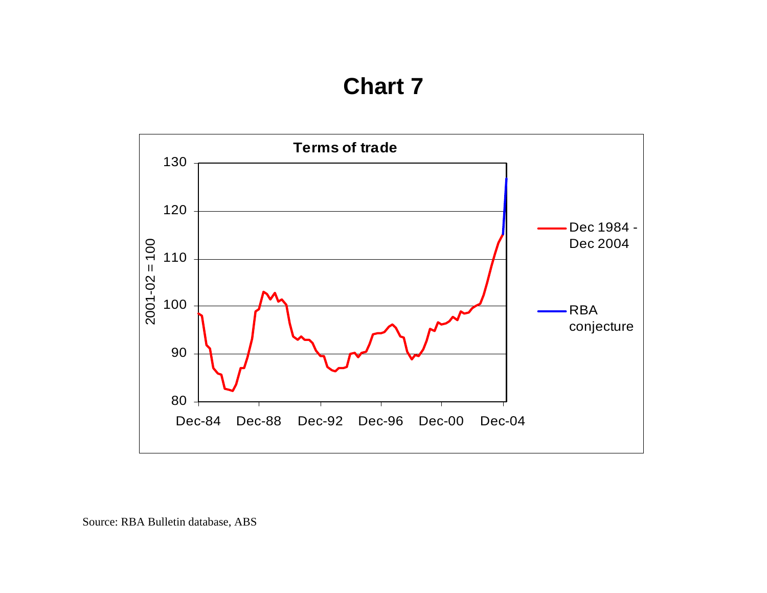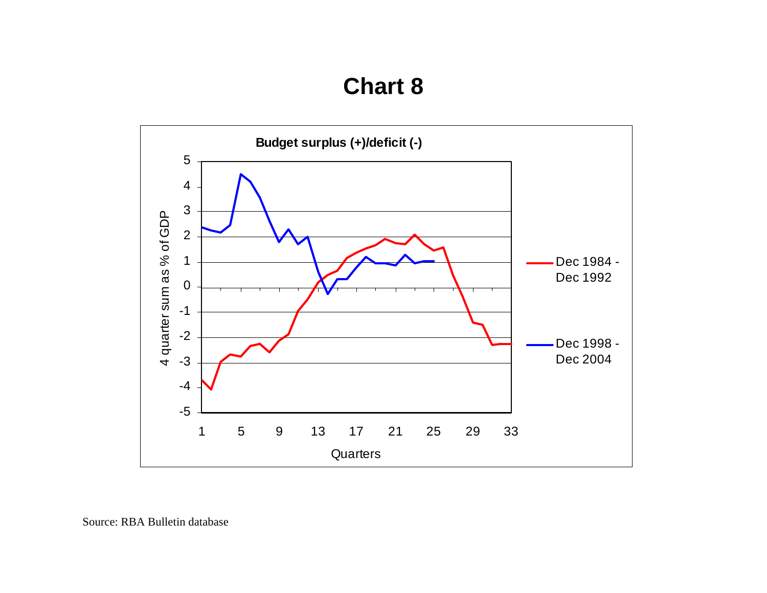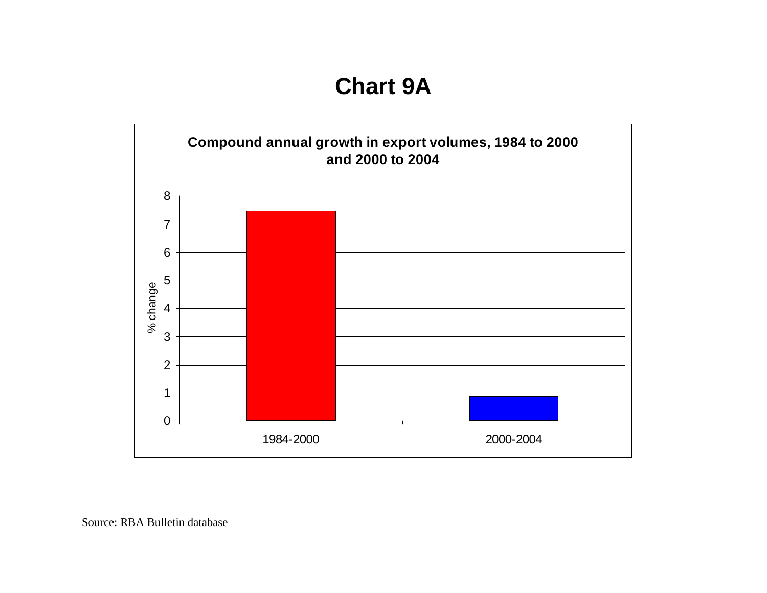**Chart 9A**

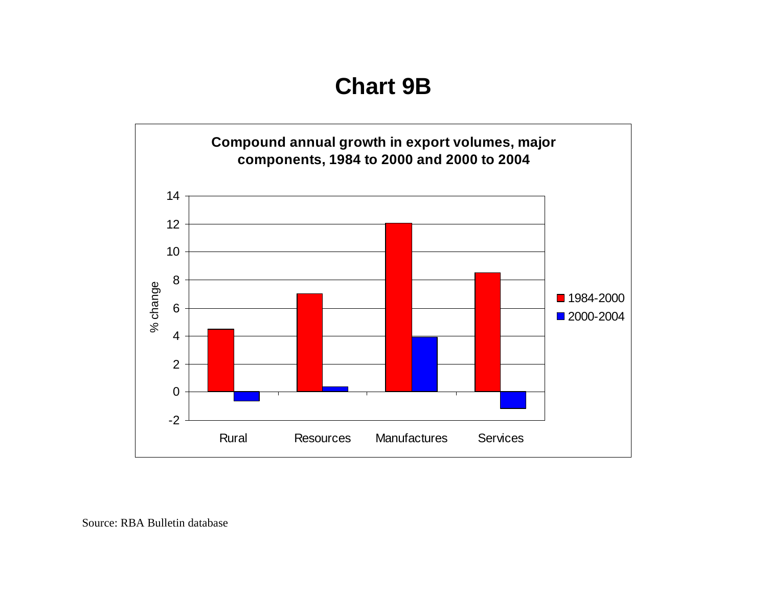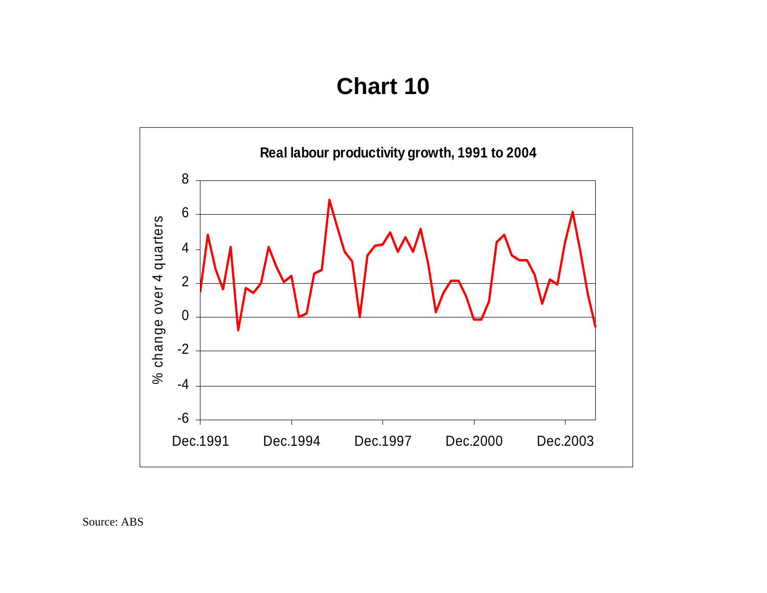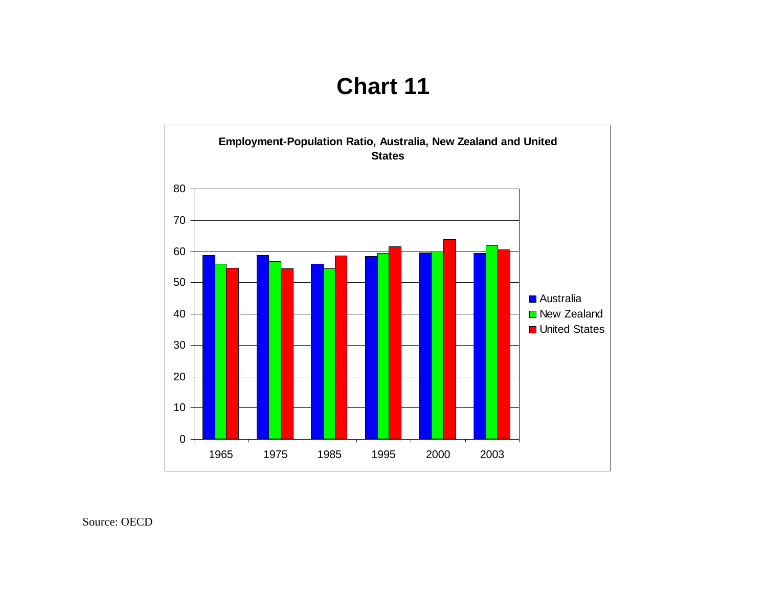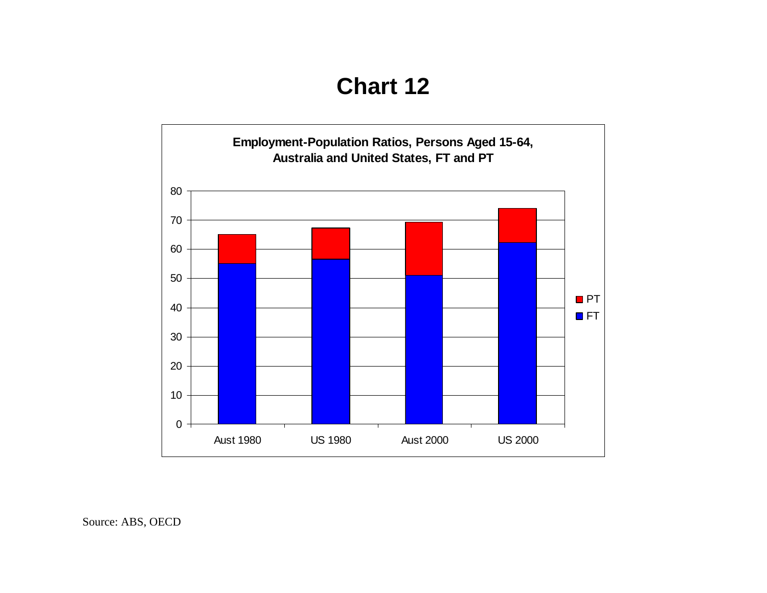